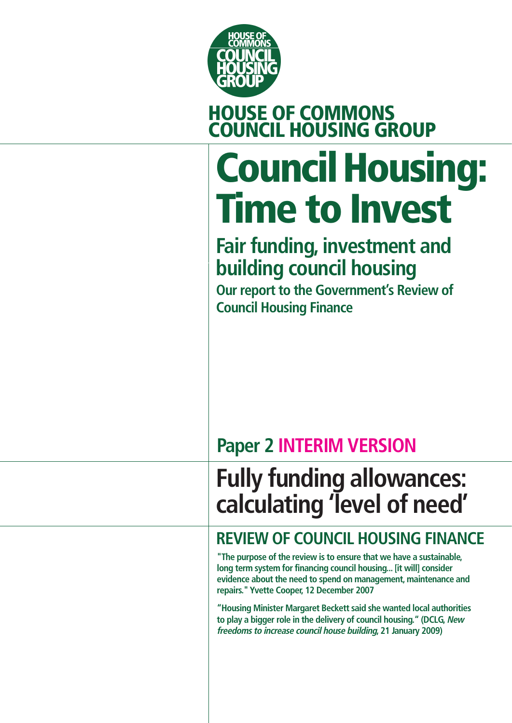

# **HOUSE OF COMMONS COUNCIL HOUSING GROUP**

# **Council Housing: Time to Invest**

## **Fair funding, investment and building council housing**

**Our report to the Government's Review of Council Housing Finance**

## **Paper 2 INTERIM VERSION**

## **Fully funding allowances: calculating 'level of need'**

## **REVIEW OF COUNCIL HOUSING FINANCE**

**"The purpose of the review is to ensure that we have a sustainable, long term system for financing council housing... [it will] consider evidence about the need to spend on management, maintenance and repairs." Yvette Cooper, 12 December 2007**

**"Housing Minister Margaret Beckett said she wanted local authorities to play a bigger role in the delivery of council housing." (DCLG, New freedoms to increase council house building, 21 January 2009)**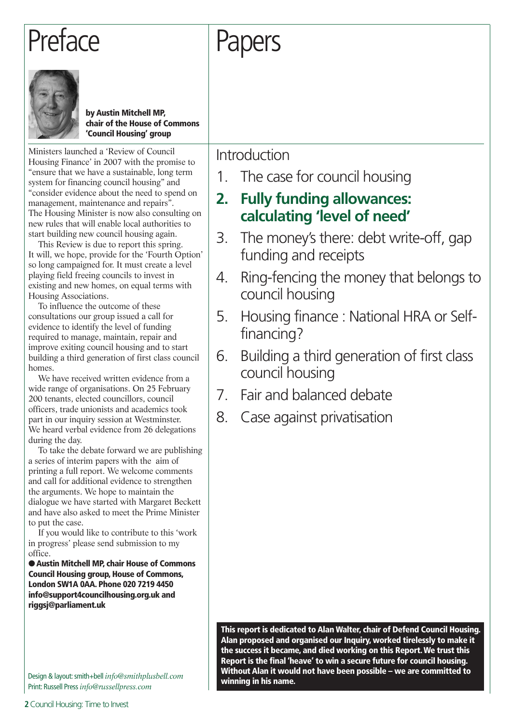## Preface

# Papers



**by Austin Mitchell MP, chair of the House of Commons 'Council Housing' group**

Ministers launched a 'Review of Council Housing Finance' in 2007 with the promise to "ensure that we have a sustainable, long term system for financing council housing" and "consider evidence about the need to spend on management, maintenance and repairs". The Housing Minister is now also consulting on new rules that will enable local authorities to start building new council housing again.

This Review is due to report this spring. It will, we hope, provide for the 'Fourth Option' so long campaigned for. It must create a level playing field freeing councils to invest in existing and new homes, on equal terms with Housing Associations.

To influence the outcome of these consultations our group issued a call for evidence to identify the level of funding required to manage, maintain, repair and improve exiting council housing and to start building a third generation of first class council homes.

We have received written evidence from a wide range of organisations. On 25 February 200 tenants, elected councillors, council officers, trade unionists and academics took part in our inquiry session at Westminster. We heard verbal evidence from 26 delegations during the day.

To take the debate forward we are publishing a series of interim papers with the aim of printing a full report. We welcome comments and call for additional evidence to strengthen the arguments. We hope to maintain the dialogue we have started with Margaret Beckett and have also asked to meet the Prime Minister to put the case.

If you would like to contribute to this 'work in progress' please send submission to my office.

● Austin Mitchell MP, chair House of Commons **Council Housing group, House of Commons, London SW1A 0AA. Phone 020 7219 4450 info@support4councilhousing.org.uk and riggsj@parliament.uk**

**winning in his name.** Design & layout: smith+bell *info@smithplusbell.com* Print: Russell Press *info@russellpress.com*

Introduction

1. The case for council housing

## **2. Fully funding allowances: calculating 'level of need'**

- 3. The money's there: debt write-off, gap funding and receipts
- 4. Ring-fencing the money that belongs to council housing
- 5. Housing finance : National HRA or Selffinancing?
- 6. Building a third generation of first class council housing
- 7. Fair and balanced debate
- 8. Case against privatisation

**This report is dedicated to Alan Walter, chair of Defend Council Housing. Alan proposed and organised our Inquiry, worked tirelessly to make it the success it became, and died working on this Report. We trust this Report is the final 'heave' to win a secure future for council housing. Without Alan it would not have been possible – we are committed to**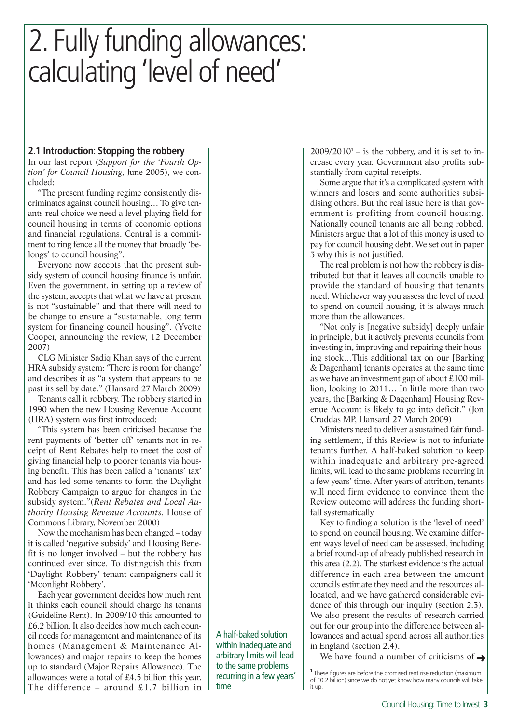### **2.1 Introduction: Stopping the robbery**

In our last report (*Support for the 'Fourth Option' for Council Housing*, June 2005), we concluded:

"The present funding regime consistently discriminates against council housing… To give tenants real choice we need a level playing field for council housing in terms of economic options and financial regulations. Central is a commitment to ring fence all the money that broadly 'belongs' to council housing".

Everyone now accepts that the present subsidy system of council housing finance is unfair. Even the government, in setting up a review of the system, accepts that what we have at present is not "sustainable" and that there will need to be change to ensure a "sustainable, long term system for financing council housing". (Yvette Cooper, announcing the review, 12 December 2007)

CLG Minister Sadiq Khan says of the current HRA subsidy system: 'There is room for change' and describes it as "a system that appears to be past its sell by date." (Hansard 27 March 2009)

Tenants call it robbery. The robbery started in 1990 when the new Housing Revenue Account (HRA) system was first introduced:

"This system has been criticised because the rent payments of 'better off' tenants not in receipt of Rent Rebates help to meet the cost of giving financial help to poorer tenants via housing benefit. This has been called a 'tenants' tax' and has led some tenants to form the Daylight Robbery Campaign to argue for changes in the subsidy system."(*Rent Rebates and Local Authority Housing Revenue Accounts*, House of Commons Library, November 2000)

Now the mechanism has been changed – today it is called 'negative subsidy' and Housing Benefit is no longer involved – but the robbery has continued ever since. To distinguish this from 'Daylight Robbery' tenant campaigners call it 'Moonlight Robbery'.

Each year government decides how much rent it thinks each council should charge its tenants (Guideline Rent). In 2009/10 this amounted to £6.2 billion. It also decides how much each council needs for management and maintenance of its homes (Management & Maintenance Allowances) and major repairs to keep the homes up to standard (Major Repairs Allowance). The allowances were a total of £4.5 billion this year. The difference – around  $£1.7$  billion in

A half-baked solution within inadequate and arbitrary limits will lead to the same problems recurring in a few years' time

 $2009/2010<sup>1</sup> -$  is the robbery, and it is set to increase every year. Government also profits substantially from capital receipts.

Some argue that it's a complicated system with winners and losers and some authorities subsidising others. But the real issue here is that government is profiting from council housing. Nationally council tenants are all being robbed. Ministers argue that a lot of this money is used to pay for council housing debt. We set out in paper 3 why this is not justified.

The real problem is not how the robbery is distributed but that it leaves all councils unable to provide the standard of housing that tenants need. Whichever way you assess the level of need to spend on council housing, it is always much more than the allowances.

"Not only is [negative subsidy] deeply unfair in principle, but it actively prevents councils from investing in, improving and repairing their housing stock…This additional tax on our [Barking & Dagenham] tenants operates at the same time as we have an investment gap of about £100 million, looking to 2011… In little more than two years, the [Barking & Dagenham] Housing Revenue Account is likely to go into deficit." (Jon Cruddas MP, Hansard 27 March 2009)

Ministers need to deliver a sustained fair funding settlement, if this Review is not to infuriate tenants further. A half-baked solution to keep within inadequate and arbitrary pre-agreed limits, will lead to the same problems recurring in a few years' time. After years of attrition, tenants will need firm evidence to convince them the Review outcome will address the funding shortfall systematically.

Key to finding a solution is the 'level of need' to spend on council housing. We examine different ways level of need can be assessed, including a brief round-up of already published research in this area (2.2). The starkest evidence is the actual difference in each area between the amount councils estimate they need and the resources allocated, and we have gathered considerable evidence of this through our inquiry (section 2.3). We also present the results of research carried out for our group into the difference between allowances and actual spend across all authorities in England (section 2.4).

We have found a number of criticisms of  $\rightarrow$ 

**<sup>1</sup>** These figures are before the promised rent rise reduction (maximum of £0.2 billion) since we do not yet know how many councils will take it up.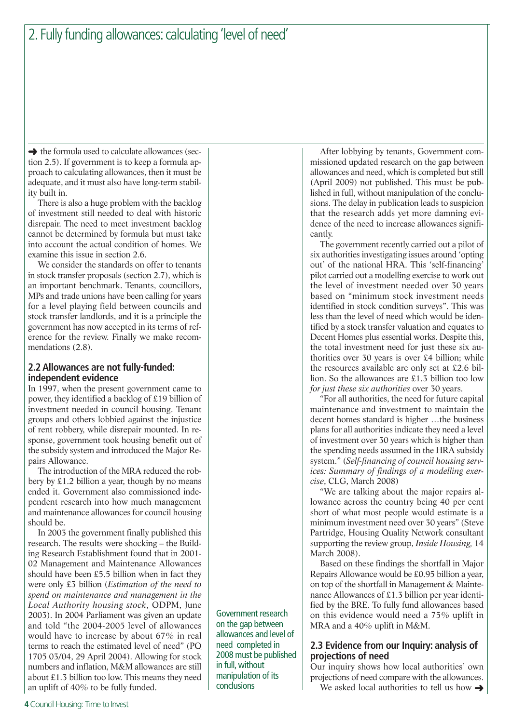$\rightarrow$  the formula used to calculate allowances (section 2.5). If government is to keep a formula approach to calculating allowances, then it must be adequate, and it must also have long-term stability built in.

There is also a huge problem with the backlog of investment still needed to deal with historic disrepair. The need to meet investment backlog cannot be determined by formula but must take into account the actual condition of homes. We examine this issue in section 2.6.

We consider the standards on offer to tenants in stock transfer proposals (section 2.7), which is an important benchmark. Tenants, councillors, MPs and trade unions have been calling for years for a level playing field between councils and stock transfer landlords, and it is a principle the government has now accepted in its terms of reference for the review. Finally we make recommendations (2.8).

## **2.2 Allowances are not fully-funded: independent evidence**

In 1997, when the present government came to power, they identified a backlog of £19 billion of investment needed in council housing. Tenant groups and others lobbied against the injustice of rent robbery, while disrepair mounted. In response, government took housing benefit out of the subsidy system and introduced the Major Repairs Allowance.

The introduction of the MRA reduced the robbery by £1.2 billion a year, though by no means ended it. Government also commissioned independent research into how much management and maintenance allowances for council housing should be.

In 2003 the government finally published this research. The results were shocking – the Building Research Establishment found that in 2001- 02 Management and Maintenance Allowances should have been £5.5 billion when in fact they were only £3 billion (*Estimation of the need to spend on maintenance and management in the Local Authority housing stock*, ODPM, June 2003). In 2004 Parliament was given an update and told "the 2004-2005 level of allowances would have to increase by about 67% in real terms to reach the estimated level of need" (PQ 1705 03/04, 29 April 2004). Allowing for stock numbers and inflation, M&M allowances are still about £1.3 billion too low. This means they need an uplift of 40% to be fully funded.

Government research on the gap between allowances and level of need completed in 2008 must be published in full, without manipulation of its conclusions

After lobbying by tenants, Government commissioned updated research on the gap between allowances and need, which is completed but still (April 2009) not published. This must be published in full, without manipulation of the conclusions. The delay in publication leads to suspicion that the research adds yet more damning evidence of the need to increase allowances significantly.

The government recently carried out a pilot of six authorities investigating issues around 'opting out' of the national HRA. This 'self-financing' pilot carried out a modelling exercise to work out the level of investment needed over 30 years based on "minimum stock investment needs identified in stock condition surveys". This was less than the level of need which would be identified by a stock transfer valuation and equates to Decent Homes plus essential works. Despite this, the total investment need for just these six authorities over 30 years is over £4 billion; while the resources available are only set at £2.6 billion. So the allowances are £1.3 billion too low *for just these six authorities* over 30 years.

"For all authorities, the need for future capital maintenance and investment to maintain the decent homes standard is higher …the business plans for all authorities indicate they need a level of investment over 30 years which is higher than the spending needs assumed in the HRA subsidy system." (*Self-financing of council housing services: Summary of findings of a modelling exercise*, CLG, March 2008)

"We are talking about the major repairs allowance across the country being 40 per cent short of what most people would estimate is a minimum investment need over 30 years" (Steve Partridge, Housing Quality Network consultant supporting the review group, *Inside Housing,* 14 March 2008).

Based on these findings the shortfall in Major Repairs Allowance would be £0.95 billion a year, on top of the shortfall in Management & Maintenance Allowances of £1.3 billion per year identified by the BRE. To fully fund allowances based on this evidence would need a 75% uplift in MRA and a 40% uplift in M&M.

## **2.3 Evidence from our Inquiry: analysis of projections of need**

Our inquiry shows how local authorities' own projections of need compare with the allowances. We asked local authorities to tell us how  $\rightarrow$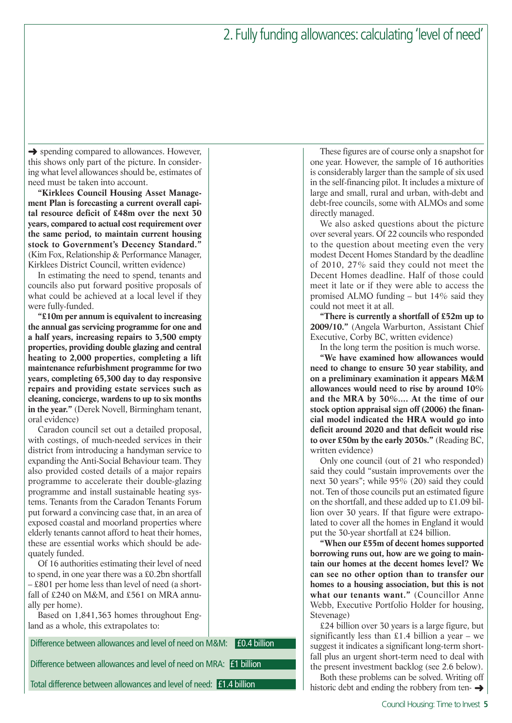**→** spending compared to allowances. However, this shows only part of the picture. In considering what level allowances should be, estimates of need must be taken into account.

**"Kirklees Council Housing Asset Management Plan is forecasting a current overall capital resource deficit of £48m over the next 30 years, compared to actual cost requirement over the same period, to maintain current housing stock to Government's Decency Standard."** (Kim Fox, Relationship & Performance Manager, Kirklees District Council, written evidence)

In estimating the need to spend, tenants and councils also put forward positive proposals of what could be achieved at a local level if they were fully-funded.

**"£10m per annum is equivalent to increasing the annual gas servicing programme for one and a half years, increasing repairs to 3,500 empty properties, providing double glazing and central heating to 2,000 properties, completing a lift maintenance refurbishment programme for two years, completing 65,300 day to day responsive repairs and providing estate services such as cleaning, concierge, wardens to up to six months in the year."** (Derek Novell, Birmingham tenant, oral evidence)

Caradon council set out a detailed proposal, with costings, of much-needed services in their district from introducing a handyman service to expanding the Anti-Social Behaviour team. They also provided costed details of a major repairs programme to accelerate their double-glazing programme and install sustainable heating systems. Tenants from the Caradon Tenants Forum put forward a convincing case that, in an area of exposed coastal and moorland properties where elderly tenants cannot afford to heat their homes, these are essential works which should be adequately funded.

Of 16 authorities estimating their level of need to spend, in one year there was a £0.2bn shortfall – £801 per home less than level of need (a shortfall of £240 on M&M, and £561 on MRA annually per home).

Based on 1,841,363 homes throughout England as a whole, this extrapolates to:

Difference between allowances and level of need on M&M: **£0.4 billion** 

Difference between allowances and level of need on MRA: £1 billion

Total difference between allowances and level of need: £1.4 billion

These figures are of course only a snapshot for one year. However, the sample of 16 authorities is considerably larger than the sample of six used in the self-financing pilot. It includes a mixture of large and small, rural and urban, with-debt and debt-free councils, some with ALMOs and some directly managed.

We also asked questions about the picture over several years. Of 22 councils who responded to the question about meeting even the very modest Decent Homes Standard by the deadline of 2010, 27% said they could not meet the Decent Homes deadline. Half of those could meet it late or if they were able to access the promised ALMO funding – but 14% said they could not meet it at all.

**"There is currently a shortfall of £52m up to 2009/10."** (Angela Warburton, Assistant Chief Executive, Corby BC, written evidence)

In the long term the position is much worse.

**"We have examined how allowances would need to change to ensure 30 year stability, and on a preliminary examination it appears M&M allowances would need to rise by around 10% and the MRA by 30%.... At the time of our stock option appraisal sign off (2006) the financial model indicated the HRA would go into deficit around 2020 and that deficit would rise to over £50m by the early 2030s."** (Reading BC, written evidence)

Only one council (out of 21 who responded) said they could "sustain improvements over the next 30 years"; while 95% (20) said they could not. Ten of those councils put an estimated figure on the shortfall, and these added up to £1.09 billion over 30 years. If that figure were extrapolated to cover all the homes in England it would put the 30-year shortfall at £24 billion.

**"When our £55m of decent homes supported borrowing runs out, how are we going to maintain our homes at the decent homes level? We can see no other option than to transfer our homes to a housing association, but this is not what our tenants want."** (Councillor Anne Webb, Executive Portfolio Holder for housing, Stevenage)

£24 billion over 30 years is a large figure, but significantly less than £1.4 billion a year – we suggest it indicates a significant long-term shortfall plus an urgent short-term need to deal with the present investment backlog (see 2.6 below).

Both these problems can be solved. Writing off historic debt and ending the robbery from ten- $\rightarrow$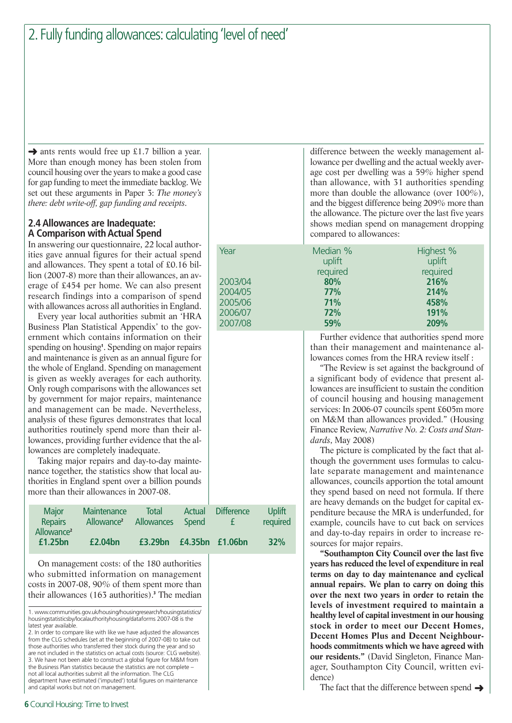→ ants rents would free up £1.7 billion a year. More than enough money has been stolen from council housing over the years to make a good case for gap funding to meet the immediate backlog. We set out these arguments in Paper 3: *The money's there: debt write-off, gap funding and receipts*.

## **2.4 Allowances are Inadequate: A Comparison with Actual Spend**

In answering our questionnaire, 22 local authorities gave annual figures for their actual spend and allowances. They spent a total of £0.16 billion (2007-8) more than their allowances, an average of £454 per home. We can also present research findings into a comparison of spend with allowances across all authorities in England.

Every year local authorities submit an 'HRA Business Plan Statistical Appendix' to the government which contains information on their spending on housing**<sup>1</sup>** . Spending on major repairs and maintenance is given as an annual figure for the whole of England. Spending on management is given as weekly averages for each authority. Only rough comparisons with the allowances set by government for major repairs, maintenance and management can be made. Nevertheless, analysis of these figures demonstrates that local authorities routinely spend more than their allowances, providing further evidence that the allowances are completely inadequate.

Taking major repairs and day-to-day maintenance together, the statistics show that local authorities in England spent over a billion pounds more than their allowances in 2007-08.

| <b>Major</b>                      | <b>Maintenance</b>     | <b>Total</b>        | Actual | <b>Difference</b> | Uplift   |
|-----------------------------------|------------------------|---------------------|--------|-------------------|----------|
| <b>Repairs</b>                    | Allowance <sup>2</sup> | Allowances          | Spend  | £                 | required |
| Allowance <sup>2</sup><br>£1.25bn | £2.04bn                | £3.29 <sub>bn</sub> |        | £4.35bn £1.06bn   | 32%      |

On management costs: of the 180 authorities who submitted information on management costs in 2007-08, 90% of them spent more than their allowances (163 authorities).**<sup>3</sup>** The median

1. www.communities.gov.uk/housing/housingresearch/housingstatistics/ housingstatisticsby/localauthorityhousing/dataforms 2007-08 is the latest year available.

2. In order to compare like with like we have adjusted the allowances from the CLG schedules (set at the beginning of 2007-08) to take out those authorities who transferred their stock during the year and so are not included in the statistics on actual costs (source: CLG website). 3. We have not been able to construct a global figure for M&M from the Business Plan statistics because the statistics are not complete – not all local authorities submit all the information. The CLG department have estimated ('imputed') total figures on maintenance and capital works but not on management.

difference between the weekly management allowance per dwelling and the actual weekly average cost per dwelling was a 59% higher spend than allowance, with 31 authorities spending more than double the allowance (over 100%), and the biggest difference being 209% more than the allowance. The picture over the last five years shows median spend on management dropping compared to allowances:

| Year |         | Median % | Highest % |
|------|---------|----------|-----------|
|      |         | uplift   | uplift    |
|      |         | required | required  |
|      | 2003/04 | 80%      | 216%      |
|      | 2004/05 | 77%      | 214%      |
|      | 2005/06 | 71%      | 458%      |
|      | 2006/07 | 72%      | 191%      |
|      | 2007/08 | 59%      | 209%      |
|      |         |          |           |

Further evidence that authorities spend more than their management and maintenance allowances comes from the HRA review itself :

"The Review is set against the background of a significant body of evidence that present allowances are insufficient to sustain the condition of council housing and housing management services: In 2006-07 councils spent £605m more on M&M than allowances provided." (Housing Finance Review, *Narrative No. 2: Costs and Standards*, May 2008)

The picture is complicated by the fact that although the government uses formulas to calculate separate management and maintenance allowances, councils apportion the total amount they spend based on need not formula. If there are heavy demands on the budget for capital expenditure because the MRA is underfunded, for example, councils have to cut back on services and day-to-day repairs in order to increase resources for major repairs.

**"Southampton City Council over the last five years has reduced the level of expenditure in real terms on day to day maintenance and cyclical annual repairs. We plan to carry on doing this over the next two years in order to retain the levels of investment required to maintain a healthy level of capital investment in our housing stock in order to meet our Decent Homes, Decent Homes Plus and Decent Neighbourhoods commitments which we have agreed with our residents."** (David Singleton, Finance Manager, Southampton City Council, written evidence)

The fact that the difference between spend  $\rightarrow$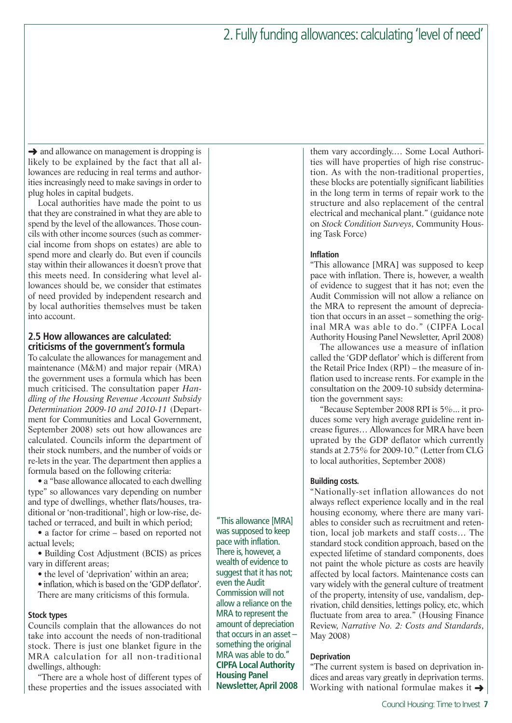**→** and allowance on management is dropping is likely to be explained by the fact that all allowances are reducing in real terms and authorities increasingly need to make savings in order to plug holes in capital budgets.

Local authorities have made the point to us that they are constrained in what they are able to spend by the level of the allowances. Those councils with other income sources (such as commercial income from shops on estates) are able to spend more and clearly do. But even if councils stay within their allowances it doesn't prove that this meets need. In considering what level allowances should be, we consider that estimates of need provided by independent research and by local authorities themselves must be taken into account.

## **2.5 How allowances are calculated: criticisms of the government's formula**

To calculate the allowances for management and maintenance (M&M) and major repair (MRA) the government uses a formula which has been much criticised. The consultation paper *Handling of the Housing Revenue Account Subsidy Determination 2009-10 and 2010-11* (Department for Communities and Local Government, September 2008) sets out how allowances are calculated. Councils inform the department of their stock numbers, and the number of voids or re-lets in the year. The department then applies a formula based on the following criteria:

• a "base allowance allocated to each dwelling type" so allowances vary depending on number and type of dwellings, whether flats/houses, traditional or 'non-traditional', high or low-rise, detached or terraced, and built in which period;

• a factor for crime – based on reported not actual levels;

• Building Cost Adjustment (BCIS) as prices vary in different areas;

- the level of 'deprivation' within an area;
- inflation, which is based on the 'GDP deflator'. There are many criticisms of this formula.

### **Stock types**

Councils complain that the allowances do not take into account the needs of non-traditional stock. There is just one blanket figure in the MRA calculation for all non-traditional dwellings, although:

"There are a whole host of different types of these properties and the issues associated with

"This allowance [MRA] was supposed to keep pace with inflation. There is, however, a wealth of evidence to suggest that it has not; even the Audit Commission will not allow a reliance on the MRA to represent the amount of depreciation that occurs in an asset – something the original MRA was able to do." **CIPFA Local Authority Housing Panel Newsletter, April 2008**

them vary accordingly.… Some Local Authorities will have properties of high rise construction. As with the non-traditional properties, these blocks are potentially significant liabilities in the long term in terms of repair work to the structure and also replacement of the central electrical and mechanical plant." (guidance note on *Stock Condition Surveys*, Community Housing Task Force)

#### **Inflation**

"This allowance [MRA] was supposed to keep pace with inflation. There is, however, a wealth of evidence to suggest that it has not; even the Audit Commission will not allow a reliance on the MRA to represent the amount of depreciation that occurs in an asset – something the original MRA was able to do." (CIPFA Local Authority Housing Panel Newsletter, April 2008)

The allowances use a measure of inflation called the 'GDP deflator' which is different from the Retail Price Index (RPI) – the measure of inflation used to increase rents. For example in the consultation on the 2009-10 subsidy determination the government says:

"Because September 2008 RPI is 5%... it produces some very high average guideline rent increase figures… Allowances for MRA have been uprated by the GDP deflator which currently stands at 2.75% for 2009-10." (Letter from CLG to local authorities, September 2008)

### **Building costs.**

"Nationally-set inflation allowances do not always reflect experience locally and in the real housing economy, where there are many variables to consider such as recruitment and retention, local job markets and staff costs… The standard stock condition approach, based on the expected lifetime of standard components, does not paint the whole picture as costs are heavily affected by local factors. Maintenance costs can vary widely with the general culture of treatment of the property, intensity of use, vandalism, deprivation, child densities, lettings policy, etc, which fluctuate from area to area." (Housing Finance Review, *Narrative No. 2: Costs and Standards*, May 2008)

#### **Deprivation**

"The current system is based on deprivation indices and areas vary greatly in deprivation terms. Working with national formulae makes it  $\rightarrow$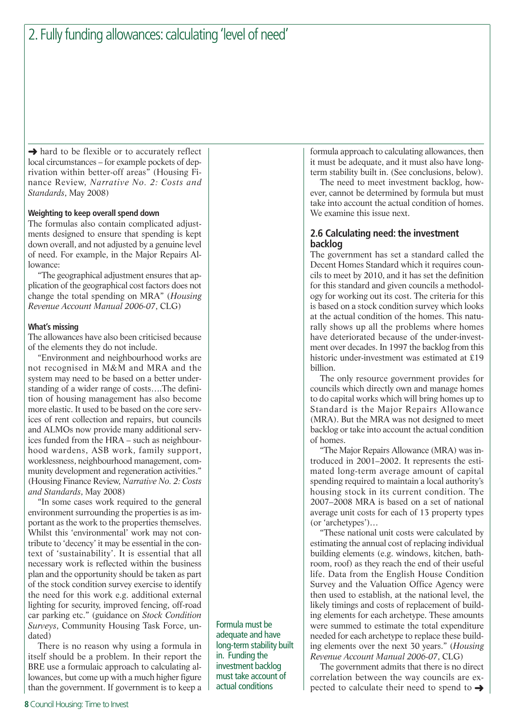→ hard to be flexible or to accurately reflect local circumstances – for example pockets of deprivation within better-off areas" (Housing Finance Review, *Narrative No. 2: Costs and Standards*, May 2008)

## **Weighting to keep overall spend down**

The formulas also contain complicated adjustments designed to ensure that spending is kept down overall, and not adjusted by a genuine level of need. For example, in the Major Repairs Allowance:

"The geographical adjustment ensures that application of the geographical cost factors does not change the total spending on MRA" (*Housing Revenue Account Manual 2006-07*, CLG)

#### **What's missing**

The allowances have also been criticised because of the elements they do not include.

"Environment and neighbourhood works are not recognised in M&M and MRA and the system may need to be based on a better understanding of a wider range of costs….The definition of housing management has also become more elastic. It used to be based on the core services of rent collection and repairs, but councils and ALMOs now provide many additional services funded from the HRA – such as neighbourhood wardens, ASB work, family support, worklessness, neighbourhood management, community development and regeneration activities." (Housing Finance Review, *Narrative No. 2: Costs and Standards*, May 2008)

"In some cases work required to the general environment surrounding the properties is as important as the work to the properties themselves. Whilst this 'environmental' work may not contribute to 'decency' it may be essential in the context of 'sustainability'. It is essential that all necessary work is reflected within the business plan and the opportunity should be taken as part of the stock condition survey exercise to identify the need for this work e.g. additional external lighting for security, improved fencing, off-road car parking etc." (guidance on *Stock Condition Surveys*, Community Housing Task Force, undated)

There is no reason why using a formula in itself should be a problem. In their report the BRE use a formulaic approach to calculating allowances, but come up with a much higher figure than the government. If government is to keep a

Formula must be adequate and have long-term stability built in. Funding the investment backlog must take account of actual conditions

formula approach to calculating allowances, then it must be adequate, and it must also have longterm stability built in. (See conclusions, below).

The need to meet investment backlog, however, cannot be determined by formula but must take into account the actual condition of homes. We examine this issue next.

### **2.6 Calculating need: the investment backlog**

The government has set a standard called the Decent Homes Standard which it requires councils to meet by 2010, and it has set the definition for this standard and given councils a methodology for working out its cost. The criteria for this is based on a stock condition survey which looks at the actual condition of the homes. This naturally shows up all the problems where homes have deteriorated because of the under-investment over decades. In 1997 the backlog from this historic under-investment was estimated at £19 billion.

The only resource government provides for councils which directly own and manage homes to do capital works which will bring homes up to Standard is the Major Repairs Allowance (MRA). But the MRA was not designed to meet backlog or take into account the actual condition of homes.

"The Major Repairs Allowance (MRA) was introduced in 2001–2002. It represents the estimated long-term average amount of capital spending required to maintain a local authority's housing stock in its current condition. The 2007–2008 MRA is based on a set of national average unit costs for each of 13 property types (or 'archetypes')…

"These national unit costs were calculated by estimating the annual cost of replacing individual building elements (e.g. windows, kitchen, bathroom, roof) as they reach the end of their useful life. Data from the English House Condition Survey and the Valuation Office Agency were then used to establish, at the national level, the likely timings and costs of replacement of building elements for each archetype. These amounts were summed to estimate the total expenditure needed for each archetype to replace these building elements over the next 30 years." (*Housing Revenue Account Manual 2006-07*, CLG)

The government admits that there is no direct correlation between the way councils are expected to calculate their need to spend to  $\rightarrow$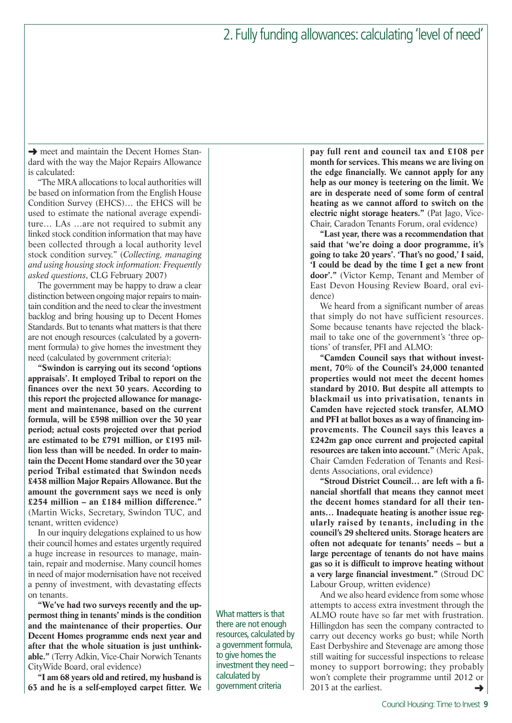→ meet and maintain the Decent Homes Standard with the way the Major Repairs Allowance is calculated:

"The MRA allocations to local authorities will be based on information from the English House Condition Survey (EHCS)… the EHCS will be used to estimate the national average expenditure… LAs …are not required to submit any linked stock condition information that may have been collected through a local authority level stock condition survey." (*Collecting, managing and using housing stock information: Frequently asked questions*, CLG February 2007)

The government may be happy to draw a clear distinction between ongoing major repairs to maintain condition and the need to clear the investment backlog and bring housing up to Decent Homes Standards. But to tenants what matters is that there are not enough resources (calculated by a government formula) to give homes the investment they need (calculated by government criteria):

**"Swindon is carrying out its second 'options appraisals'. It employed Tribal to report on the finances over the next 30 years. According to this report the projected allowance for management and maintenance, based on the current formula, will be £598 million over the 30 year period; actual costs projected over that period are estimated to be £791 million, or £193 million less than will be needed. In order to maintain the Decent Home standard over the 30 year period Tribal estimated that Swindon needs £438 million Major Repairs Allowance. But the amount the government says we need is only £254 million – an £184 million difference."** (Martin Wicks, Secretary, Swindon TUC, and tenant, written evidence)

In our inquiry delegations explained to us how their council homes and estates urgently required a huge increase in resources to manage, maintain, repair and modernise. Many council homes in need of major modernisation have not received a penny of investment, with devastating effects on tenants.

**"We've had two surveys recently and the uppermost thing in tenants' minds is the condition and the maintenance of their properties. Our Decent Homes programme ends next year and after that the whole situation is just unthinkable."** (Terry Adkin, Vice-Chair Norwich Tenants CityWide Board, oral evidence)

**"I am 68 years old and retired, my husband is 63 and he is a self-employed carpet fitter. We** What matters is that there are not enough resources, calculated by a government formula, to give homes the investment they need – calculated by government criteria

**pay full rent and council tax and £108 per month for services. This means we are living on the edge financially. We cannot apply for any help as our money is teetering on the limit. We are in desperate need of some form of central heating as we cannot afford to switch on the electric night storage heaters."** (Pat Jago, Vice-Chair, Caradon Tenants Forum, oral evidence)

**"Last year, there was a recommendation that said that 'we're doing a door programme, it's going to take 20 years'. 'That's no good,' I said, 'I could be dead by the time I get a new front door'."** (Victor Kemp, Tenant and Member of East Devon Housing Review Board, oral evidence)

We heard from a significant number of areas that simply do not have sufficient resources. Some because tenants have rejected the blackmail to take one of the government's 'three options' of transfer, PFI and ALMO:

**"Camden Council says that without investment, 70% of the Council's 24,000 tenanted properties would not meet the decent homes standard by 2010. But despite all attempts to blackmail us into privatisation, tenants in Camden have rejected stock transfer, ALMO and PFI at ballot boxes as a way of financing improvements. The Council says this leaves a £242m gap once current and projected capital resources are taken into account."** (Meric Apak, Chair Camden Federation of Tenants and Residents Associations, oral evidence)

**"Stroud District Council… are left with a financial shortfall that means they cannot meet the decent homes standard for all their tenants… Inadequate heating is another issue regularly raised by tenants, including in the council's 29 sheltered units. Storage heaters are often not adequate for tenants' needs – but a large percentage of tenants do not have mains gas so it is difficult to improve heating without a very large financial investment."** (Stroud DC Labour Group, written evidence)

And we also heard evidence from some whose attempts to access extra investment through the ALMO route have so far met with frustration. Hillingdon has seen the company contracted to carry out decency works go bust; while North East Derbyshire and Stevenage are among those still waiting for successful inspections to release money to support borrowing; they probably won't complete their programme until 2012 or 2013 at the earliest. ➜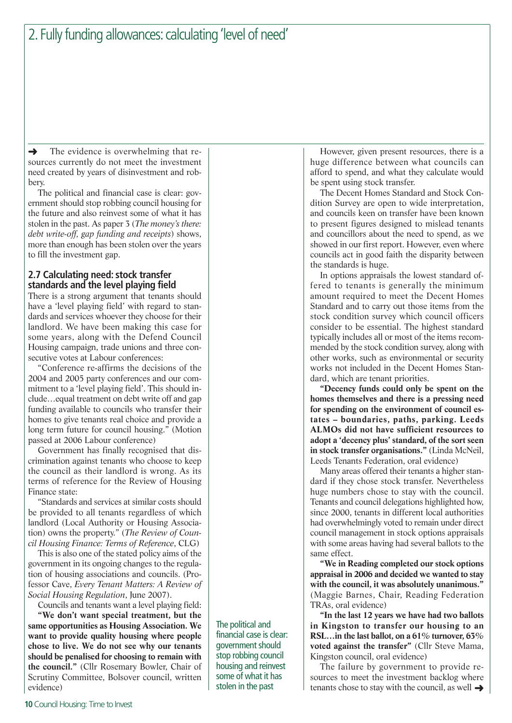The evidence is overwhelming that resources currently do not meet the investment need created by years of disinvestment and robbery. ➜

The political and financial case is clear: government should stop robbing council housing for the future and also reinvest some of what it has stolen in the past. As paper 3 (*The money's there: debt write-off, gap funding and receipts*) shows, more than enough has been stolen over the years to fill the investment gap.

## **2.7 Calculating need: stock transfer standards and the level playing field**

There is a strong argument that tenants should have a 'level playing field' with regard to standards and services whoever they choose for their landlord. We have been making this case for some years, along with the Defend Council Housing campaign, trade unions and three consecutive votes at Labour conferences:

"Conference re-affirms the decisions of the 2004 and 2005 party conferences and our commitment to a 'level playing field'. This should include…equal treatment on debt write off and gap funding available to councils who transfer their homes to give tenants real choice and provide a long term future for council housing." (Motion passed at 2006 Labour conference)

Government has finally recognised that discrimination against tenants who choose to keep the council as their landlord is wrong. As its terms of reference for the Review of Housing Finance state:

"Standards and services at similar costs should be provided to all tenants regardless of which landlord (Local Authority or Housing Association) owns the property." (*The Review of Council Housing Finance: Terms of Reference*, CLG)

This is also one of the stated policy aims of the government in its ongoing changes to the regulation of housing associations and councils. (Professor Cave, *Every Tenant Matters: A Review of Social Housing Regulation*, June 2007).

Councils and tenants want a level playing field:

**"We don't want special treatment, but the same opportunities as Housing Association. We want to provide quality housing where people chose to live. We do not see why our tenants should be penalised for choosing to remain with the council."** (Cllr Rosemary Bowler, Chair of Scrutiny Committee, Bolsover council, written evidence)

The political and financial case is clear: government should stop robbing council housing and reinvest some of what it has stolen in the past

However, given present resources, there is a huge difference between what councils can afford to spend, and what they calculate would be spent using stock transfer.

The Decent Homes Standard and Stock Condition Survey are open to wide interpretation, and councils keen on transfer have been known to present figures designed to mislead tenants and councillors about the need to spend, as we showed in our first report. However, even where councils act in good faith the disparity between the standards is huge.

In options appraisals the lowest standard offered to tenants is generally the minimum amount required to meet the Decent Homes Standard and to carry out those items from the stock condition survey which council officers consider to be essential. The highest standard typically includes all or most of the items recommended by the stock condition survey, along with other works, such as environmental or security works not included in the Decent Homes Standard, which are tenant priorities.

**"Decency funds could only be spent on the homes themselves and there is a pressing need for spending on the environment of council estates – boundaries, paths, parking. Leeds ALMOs did not have sufficient resources to adopt a 'decency plus' standard, of the sort seen in stock transfer organisations."** (Linda McNeil, Leeds Tenants Federation, oral evidence)

Many areas offered their tenants a higher standard if they chose stock transfer. Nevertheless huge numbers chose to stay with the council. Tenants and council delegations highlighted how, since 2000, tenants in different local authorities had overwhelmingly voted to remain under direct council management in stock options appraisals with some areas having had several ballots to the same effect.

**"We in Reading completed our stock options appraisal in 2006 and decided we wanted to stay with the council, it was absolutely unanimous."** (Maggie Barnes, Chair, Reading Federation TRAs, oral evidence)

**"In the last 12 years we have had two ballots in Kingston to transfer our housing to an RSL…in the last ballot, on a 61% turnover, 63% voted against the transfer"** (Cllr Steve Mama, Kingston council, oral evidence)

The failure by government to provide resources to meet the investment backlog where tenants chose to stay with the council, as well  $\rightarrow$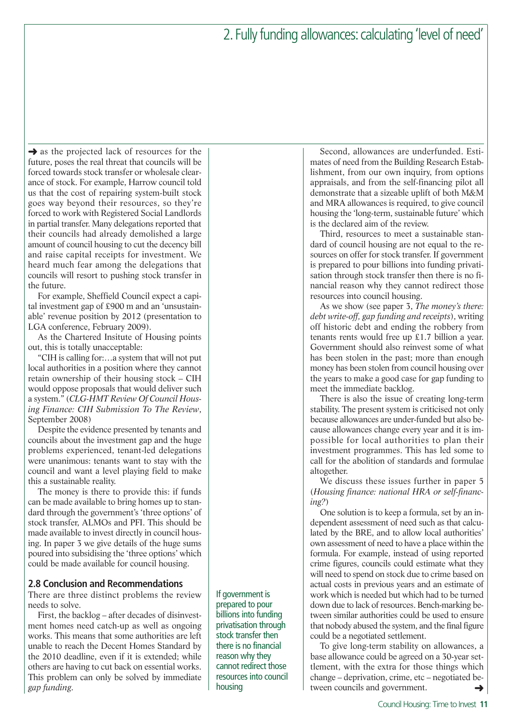$\rightarrow$  as the projected lack of resources for the future, poses the real threat that councils will be forced towards stock transfer or wholesale clearance of stock. For example, Harrow council told us that the cost of repairing system-built stock goes way beyond their resources, so they're forced to work with Registered Social Landlords in partial transfer. Many delegations reported that their councils had already demolished a large amount of council housing to cut the decency bill and raise capital receipts for investment. We heard much fear among the delegations that councils will resort to pushing stock transfer in the future.

For example, Sheffield Council expect a capital investment gap of £900 m and an 'unsustainable' revenue position by 2012 (presentation to LGA conference, February 2009).

As the Chartered Insitute of Housing points out, this is totally unacceptable:

"CIH is calling for:…a system that will not put local authorities in a position where they cannot retain ownership of their housing stock – CIH would oppose proposals that would deliver such a system." (*CLG-HMT Review Of Council Housing Finance: CIH Submission To The Review*, September 2008)

Despite the evidence presented by tenants and councils about the investment gap and the huge problems experienced, tenant-led delegations were unanimous: tenants want to stay with the council and want a level playing field to make this a sustainable reality.

The money is there to provide this: if funds can be made available to bring homes up to standard through the government's 'three options' of stock transfer, ALMOs and PFI. This should be made available to invest directly in council housing. In paper 3 we give details of the huge sums poured into subsidising the 'three options' which could be made available for council housing.

### **2.8 Conclusion and Recommendations**

There are three distinct problems the review needs to solve.

First, the backlog – after decades of disinvestment homes need catch-up as well as ongoing works. This means that some authorities are left unable to reach the Decent Homes Standard by the 2010 deadline, even if it is extended; while others are having to cut back on essential works. This problem can only be solved by immediate *gap funding*.

If government is prepared to pour billions into funding privatisation through stock transfer then there is no financial reason why they cannot redirect those resources into council housing

Second, allowances are underfunded. Estimates of need from the Building Research Establishment, from our own inquiry, from options appraisals, and from the self-financing pilot all demonstrate that a sizeable uplift of both M&M and MRA allowances is required, to give council housing the 'long-term, sustainable future' which is the declared aim of the review.

Third, resources to meet a sustainable standard of council housing are not equal to the resources on offer for stock transfer. If government is prepared to pour billions into funding privatisation through stock transfer then there is no financial reason why they cannot redirect those resources into council housing.

As we show (see paper 3, *The money's there: debt write-off, gap funding and receipts*), writing off historic debt and ending the robbery from tenants rents would free up £1.7 billion a year. Government should also reinvest some of what has been stolen in the past; more than enough money has been stolen from council housing over the years to make a good case for gap funding to meet the immediate backlog.

There is also the issue of creating long-term stability. The present system is criticised not only because allowances are under-funded but also because allowances change every year and it is impossible for local authorities to plan their investment programmes. This has led some to call for the abolition of standards and formulae altogether.

We discuss these issues further in paper 5 (*Housing finance: national HRA or self-financing?*)

One solution is to keep a formula, set by an independent assessment of need such as that calculated by the BRE, and to allow local authorities' own assessment of need to have a place within the formula. For example, instead of using reported crime figures, councils could estimate what they will need to spend on stock due to crime based on actual costs in previous years and an estimate of work which is needed but which had to be turned down due to lack of resources. Bench-marking between similar authorities could be used to ensure that nobody abused the system, and the final figure could be a negotiated settlement.

To give long-term stability on allowances, a base allowance could be agreed on a 30-year settlement, with the extra for those things which change – deprivation, crime, etc – negotiated between councils and government. ➜